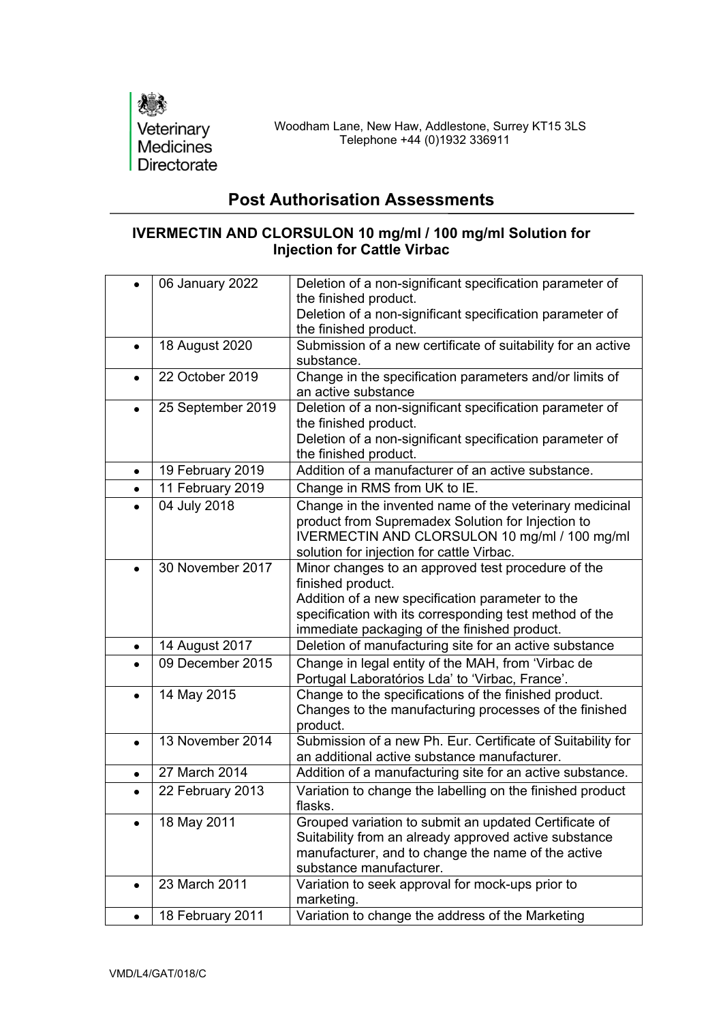

## **Post Authorisation Assessments**

## **IVERMECTIN AND CLORSULON 10 mg/ml / 100 mg/ml Solution for Injection for Cattle Virbac**

|           | 06 January 2022   | Deletion of a non-significant specification parameter of<br>the finished product.<br>Deletion of a non-significant specification parameter of<br>the finished product.                                                                 |
|-----------|-------------------|----------------------------------------------------------------------------------------------------------------------------------------------------------------------------------------------------------------------------------------|
| $\bullet$ | 18 August 2020    | Submission of a new certificate of suitability for an active<br>substance.                                                                                                                                                             |
| $\bullet$ | 22 October 2019   | Change in the specification parameters and/or limits of<br>an active substance                                                                                                                                                         |
|           | 25 September 2019 | Deletion of a non-significant specification parameter of<br>the finished product.<br>Deletion of a non-significant specification parameter of<br>the finished product.                                                                 |
| $\bullet$ | 19 February 2019  | Addition of a manufacturer of an active substance.                                                                                                                                                                                     |
|           | 11 February 2019  | Change in RMS from UK to IE.                                                                                                                                                                                                           |
|           | 04 July 2018      | Change in the invented name of the veterinary medicinal<br>product from Supremadex Solution for Injection to<br>IVERMECTIN AND CLORSULON 10 mg/ml / 100 mg/ml<br>solution for injection for cattle Virbac.                             |
|           | 30 November 2017  | Minor changes to an approved test procedure of the<br>finished product.<br>Addition of a new specification parameter to the<br>specification with its corresponding test method of the<br>immediate packaging of the finished product. |
| $\bullet$ | 14 August 2017    | Deletion of manufacturing site for an active substance                                                                                                                                                                                 |
|           | 09 December 2015  | Change in legal entity of the MAH, from 'Virbac de<br>Portugal Laboratórios Lda' to 'Virbac, France'.                                                                                                                                  |
| $\bullet$ | 14 May 2015       | Change to the specifications of the finished product.<br>Changes to the manufacturing processes of the finished<br>product.                                                                                                            |
| $\bullet$ | 13 November 2014  | Submission of a new Ph. Eur. Certificate of Suitability for<br>an additional active substance manufacturer.                                                                                                                            |
|           | 27 March 2014     | Addition of a manufacturing site for an active substance.                                                                                                                                                                              |
|           | 22 February 2013  | Variation to change the labelling on the finished product<br>flasks.                                                                                                                                                                   |
|           | 18 May 2011       | Grouped variation to submit an updated Certificate of<br>Suitability from an already approved active substance<br>manufacturer, and to change the name of the active<br>substance manufacturer.                                        |
| $\bullet$ | 23 March 2011     | Variation to seek approval for mock-ups prior to<br>marketing.                                                                                                                                                                         |
| $\bullet$ | 18 February 2011  | Variation to change the address of the Marketing                                                                                                                                                                                       |